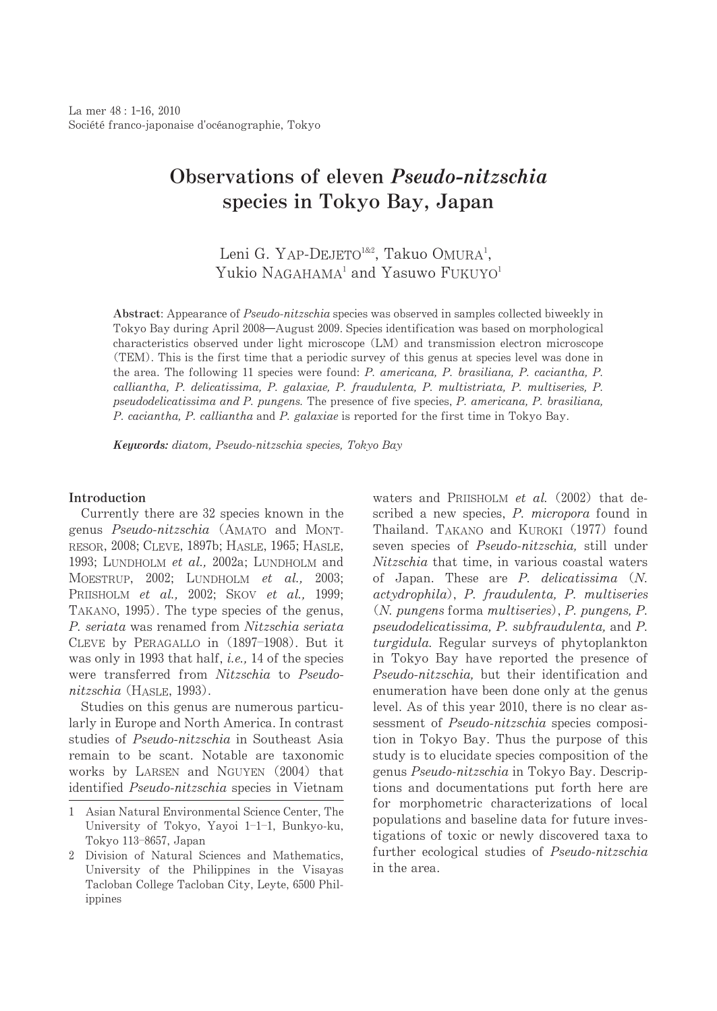# Observations of eleven *Pseudo-nitzschia* species in Tokyo Bay, Japan

## Leni G. YAP-DEJETO<sup>1&2</sup>, Takuo OMURA<sup>1</sup>, Yukio NAGAHAMA<sup>1</sup> and Yasuwo FUKUYO<sup>1</sup>

Abstract: Appearance of Pseudo-nitzschia species was observed in samples collected biweekly in Tokyo Bay during April 2008—August 2009. Species identification was based on morphological characteristics observed under light microscope (LM) and transmission electron microscope (TEM).Thisisthefirsttimethataperiodicsurveyofthisgenusatspecieslevelwasdonein the area. The following 11 species were found: P. americana, P. brasiliana, P. caciantha, P. calliantha,P.delicatissima,P.galaxiae,P.fraudulenta,P.multistriata,P.multiseries,P. pseudodelicatissima and P. pungens. The presence of five species, P. americana, P. brasiliana, P. caciantha, P. calliantha and P. galaxiae is reported for the first time in Tokyo Bay.

Keywords: diatom, Pseudo-nitzschia species, Tokyo Bay

## Introduction

Currently there are 32 species known in the genus Pseudo-nitzschia (AMATO and MONT-RESOR, 2008; CLEVE, 1897b; HASLE, 1965; HASLE, 1993; LUNDHOLM et al., 2002a; LUNDHOLM and MOESTRUP, 2002; LUNDHOLM et al., 2003; PRIISHOLM et al., 2002; SKOV et al., 1999; TAKANO, 1995). The type species of the genus, P. seriata was renamed from Nitzschia seriata CLEVE by PERAGALLO in (1897-1908). But it was only in 1993 that half, i.e., 14 of the species were transferred from Nitzschia to Pseudonitzschia (HASLE, 1993).

Studies on this genus are numerous particularly in Europe and North America. In contrast studies of Pseudo-nitzschia in Southeast Asia remain to be scant. Notable are taxonomic works by LARSEN and NGUYEN  $(2004)$  that identified Pseudo-nitzschia species in Vietnam waters and PRIISHOLM et al.  $(2002)$  that described a new species, P. micropora found in Thailand. TAKANO and KUROKI (1977) found seven species of Pseudo-nitzschia, still under Nitzschia that time, in various coastal waters of Japan. These are  $P$ . delicatissima  $(N$ . actydrophila), P. fraudulenta, P. multiseries  $(N.$  pungens forma multiseries), P. pungens, P. pseudodelicatissima, P. subfraudulenta, and P. turgidula. Regular surveys of phytoplankton in Tokyo Bay have reported the presence of Pseudo-nitzschia, but their identification and enumeration have been done only at the genus level. As of this year 2010, there is no clear assessment of Pseudo-nitzschia species composition in Tokyo Bay. Thus the purpose of this study is to elucidate species composition of the genus Pseudo-nitzschia in Tokyo Bay. Descriptions and documentations put forth here are for morphometric characterizations of local populations and baseline data for future investigations of toxic or newly discovered taxa to further ecological studies of Pseudo-nitzschia in the area.

<sup>1</sup> Asian Natural Environmental Science Center, The University of Tokyo, Yayoi 1-1-1, Bunkyo-ku, Tokyo 113–8657, Japan

<sup>2</sup> Division of Natural Sciences and Mathematics, University of the Philippines in the Visayas Tacloban College Tacloban City, Leyte, 6500 Philippines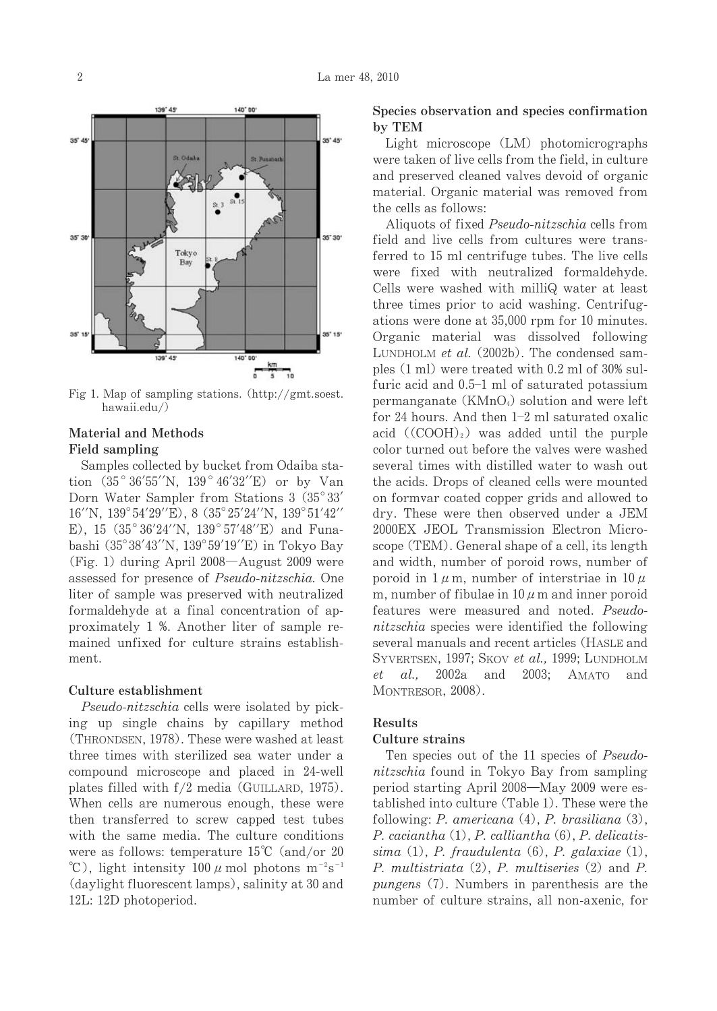

Fig 1. Map of sampling stations. (http://gmt.soest.) hawaii.edu/)

## Material and Methods Field sampling

Samples collected by bucket from Odaiba station (35°36'55''N, 139°46'32''E) or by Van Dorn Water Sampler from Stations 3 (35°33'  $16''$ N,  $139^{\circ}54'29''$ E), 8  $(35^{\circ}25'24''$ N,  $139^{\circ}51'42''$ E), 15 $(35^{\circ}36'24''N, 139^{\circ}57'48''E)$  and Funabashi (35°38′43′′N, 139°59′19′′E) in Tokyo Bay (Fig. 1) during April  $2008 -$ August 2009 were assessed for presence of Pseudo-nitzschia. One liter of sample was preserved with neutralized formaldehyde at a final concentration of approximately 1 %. Another liter of sample remained unfixed for culture strains establishment.

## Culture establishment

Pseudo-nitzschia cells were isolated by picking up single chains by capillary method (THRONDSEN, 1978). These were washed at least three times with sterilized sea water under a compound microscopeand placed in 24-well plates filled with  $f/2$  media (GUILLARD, 1975). When cells are numerous enough, these were then transferred to screw capped test tubes with the same media. The culture conditions were as follows: temperature  $15^{\circ}$ C (and/or 20  $^{\circ}$ C), light intensity 100  $\mu$  mol photons m<sup>-2</sup>s<sup>-1</sup> (daylight fluorescent lamps), salinity at 30 and 12L: 12D photoperiod.

## Species observation and species confirmation byTEM

Light microscope (LM) photomicrographs were taken of live cells from the field, in culture and preserved cleaned valves devoid of organic material. Organic material was removed from the cells as follows:

Aliquots of fixed Pseudo-nitzschia cells from field and live cells from cultures were transferred to 15 ml centrifuge tubes. The live cells were fixed with neutralized formaldehyde. Cells were washed with milliQ water at least three times prior to acid washing. Centrifugations were done at 35,000 rpm for 10 minutes. Organic material was dissolved following LUNDHOLM et al.  $(2002b)$ . The condensed samples  $(1 \text{ ml})$  were treated with 0.2 ml of 30% sulfuric acid and 0.5-1 ml of saturated potassium permanganate ( $KMnO<sub>4</sub>$ ) solution and were left for 24 hours. And then  $1-2$  ml saturated oxalic acid ( $(COOH)_2$ ) was added until the purple color turned out before the valves were washed several times with distilled water to wash out the acids. Drops of cleaned cells were mounted on formvar coated copper grids and allowed to dry. These were then observed under a JEM 2000EX JEOL Transmission Electron Microscope (TEM). General shape of a cell, its length and width, number of poroid rows, number of poroid in  $1 \mu$ m, number of interstriae in  $10 \mu$ m, number of fibulae in  $10 \mu$  m and inner poroid features were measured and noted. Pseudonitzschia species were identified the following several manuals and recent articles (HASLE and SYVERTSEN, 1997; SKOV et al., 1999; LUNDHOLM et al., 2002a and 2003; AMATO and MONTRESOR, 2008).

#### Results

### Culture strains

Ten species out of the 11 species of Pseudonitzschia found in Tokyo Bay from sampling period starting April 2008 – May 2009 were established into culture (Table 1). These were the following:  $P$ . americana  $(4)$ ,  $P$ . brasiliana  $(3)$ , P. caciantha (1), P. calliantha (6), P. delicatissima  $(1)$ , P. fraudulenta  $(6)$ , P. galaxiae  $(1)$ , P. multistriata (2), P. multiseries (2) and P. pungens (7). Numbers in parenthesis are the number of culture strains, all non-axenic, for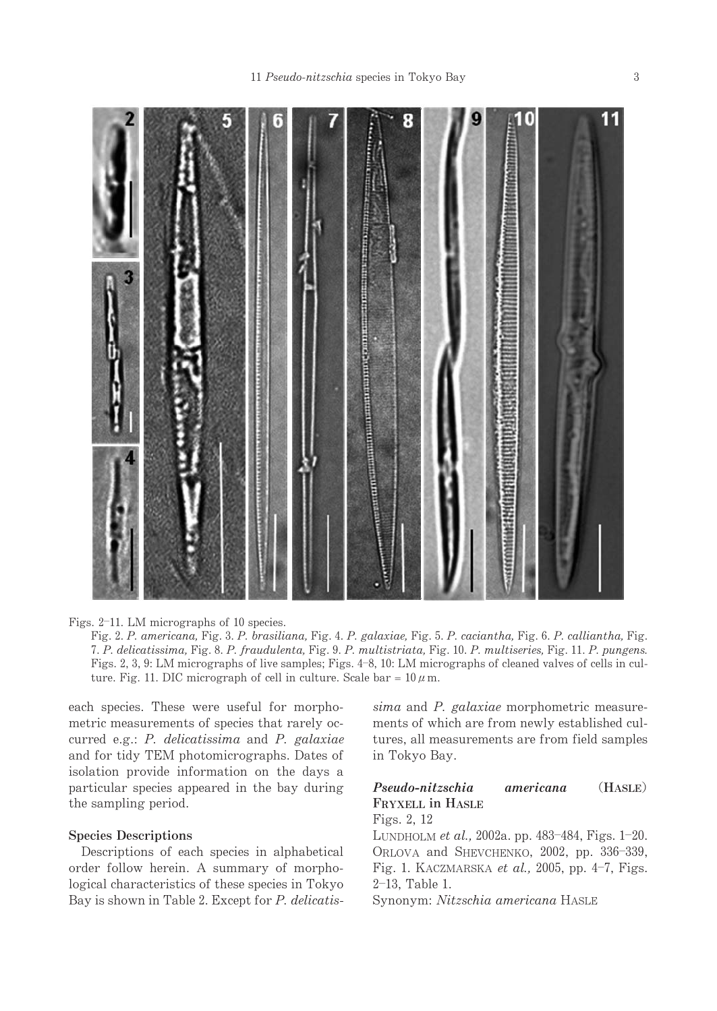

Figs. 2–11. LM micrographs of 10 species.

Fig. 2. P. americana, Fig. 3. P. brasiliana, Fig. 4. P. galaxiae, Fig. 5. P. caciantha, Fig. 6. P. calliantha, Fig. 7.P.delicatissima,Fig.8.P.fraudulenta,Fig.9.P.multistriata,Fig.10.P.multiseries,Fig.11.P.pungens. Figs. 2, 3, 9: LM micrographs of live samples; Figs. 4–8, 10: LM micrographs of cleaned valves of cells in culture. Fig. 11. DIC micrograph of cell in culture. Scale bar =  $10 \mu$ m.

each species. These were useful for morphometric measurements of species that rarely occurred e.g.:  $P$ . delicatissima and  $P$ . galaxiae and for tidy TEM photomicrographs. Dates of isolation provide information on the days a particular species appeared in the bay during the sampling period.

## Species Descriptions

Descriptions of each species in alphabetical order follow herein. A summary of morphological characteristics of these species in Tokyo Bay is shown in Table 2. Except for P. delicatis-

 $sima$  and  $P. galaxiae$  morphometric measurements of which are from newly established cultures, all measurements are from field samples in Tokyo Bay.

## Pseudo-nitzschia americana (HASLE) FRYXELL in HASLE

Figs.2,12 LUNDHOLM *et al.*, 2002a. pp. 483–484, Figs. 1–20. ORLOVA and SHEVCHENKO, 2002, pp. 336-339, Fig. 1. KACZMARSKA et al., 2005, pp. 4–7, Figs. 2-13,Table1.

Synonym: Nitzschia americana HASLE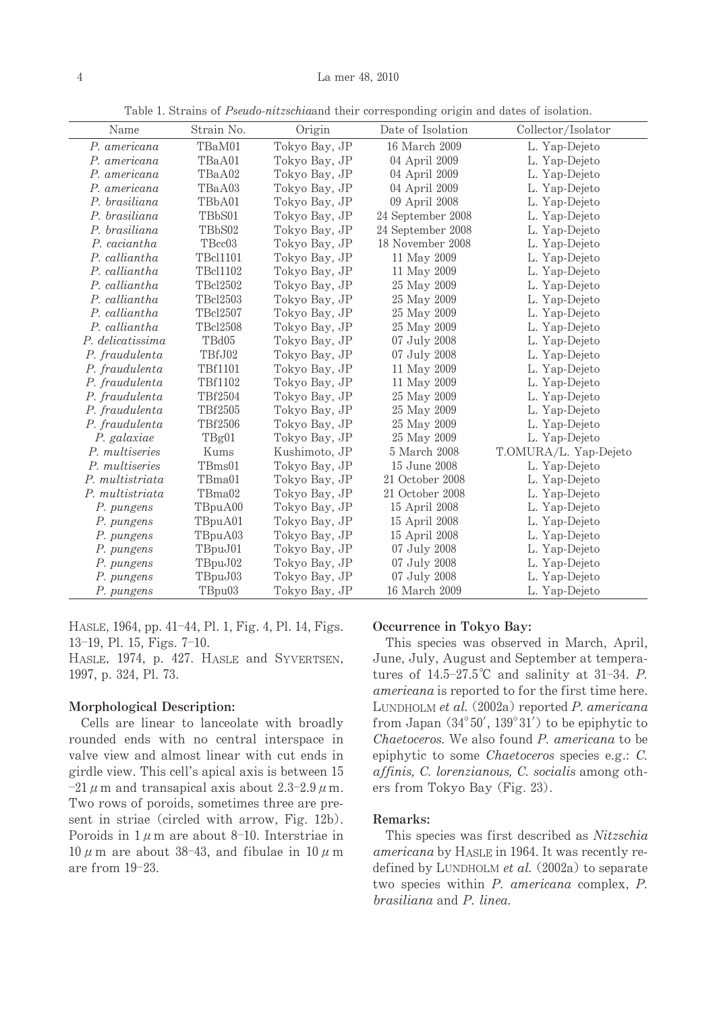| Name             | Strain No.      | Origin        | Date of Isolation<br>Collector/Isolator |                       |
|------------------|-----------------|---------------|-----------------------------------------|-----------------------|
| P. americana     | TBaM01          | Tokyo Bay, JP | 16 March 2009                           | L. Yap-Dejeto         |
| P. americana     | TBaA01          | Tokyo Bay, JP | 04 April 2009                           | L. Yap-Dejeto         |
| P. americana     | TBaA02          | Tokyo Bay, JP | 04 April 2009                           | L. Yap-Dejeto         |
| P. americana     | TBaA03          | Tokyo Bay, JP | 04 April 2009                           | L. Yap-Dejeto         |
| P. brasiliana    | TBbA01          | Tokyo Bay, JP | 09 April 2008                           | L. Yap-Dejeto         |
| P. brasiliana    | TBbS01          | Tokyo Bay, JP | 24 September 2008                       | L. Yap-Dejeto         |
| P. brasiliana    | TBbS02          | Tokyo Bay, JP | 24 September 2008                       | L. Yap-Dejeto         |
| P. caciantha     | TBcc03          | Tokyo Bay, JP | 18 November 2008                        | L. Yap-Dejeto         |
| P. calliantha    | <b>TBcl1101</b> | Tokyo Bay, JP | 11 May 2009                             | L. Yap-Dejeto         |
| P. calliantha    | TBc11102        | Tokyo Bay, JP | 11 May 2009                             | L. Yap-Dejeto         |
| P. calliantha    | TBcl2502        | Tokyo Bay, JP | 25 May 2009                             | L. Yap-Dejeto         |
| P. calliantha    | TBc12503        | Tokyo Bay, JP | 25 May 2009                             | L. Yap-Dejeto         |
| P. calliantha    | TBc12507        | Tokyo Bay, JP | 25 May 2009                             | L. Yap-Dejeto         |
| P. calliantha    | TBc12508        | Tokyo Bay, JP | 25 May 2009                             | L. Yap-Dejeto         |
| P. delicatissima | TBd05           | Tokyo Bay, JP | 07 July 2008                            | L. Yap-Dejeto         |
| P. fraudulenta   | TBfJ02          | Tokyo Bay, JP | 07 July 2008                            | L. Yap-Dejeto         |
| P. fraudulenta   | TBf1101         | Tokyo Bay, JP | 11 May 2009                             | L. Yap-Dejeto         |
| P. fraudulenta   | TBf1102         | Tokyo Bay, JP | 11 May 2009                             | L. Yap-Dejeto         |
| P. fraudulenta   | TBf2504         | Tokyo Bay, JP | 25 May 2009                             | L. Yap-Dejeto         |
| P. fraudulenta   | TBf2505         | Tokyo Bay, JP | 25 May 2009                             | L. Yap-Dejeto         |
| P. fraudulenta   | TBf2506         | Tokyo Bay, JP | 25 May 2009                             | L. Yap-Dejeto         |
| P. galaxiae      | TBg01           | Tokyo Bay, JP | 25 May 2009                             | L. Yap-Dejeto         |
| P. multiseries   | Kums            | Kushimoto, JP | 5 March 2008                            | T.OMURA/L. Yap-Dejeto |
| P. multiseries   | TBms01          | Tokyo Bay, JP | 15 June 2008                            | L. Yap-Dejeto         |
| P. multistriata  | TBma01          | Tokyo Bay, JP | 21 October 2008                         | L. Yap-Dejeto         |
| P. multistriata  | TBma02          | Tokyo Bay, JP | 21 October 2008                         | L. Yap-Dejeto         |
| P. pungens       | TBpuA00         | Tokyo Bay, JP | 15 April 2008                           | L. Yap-Dejeto         |
| P. pungens       | TBpuA01         | Tokyo Bay, JP | 15 April 2008                           | L. Yap-Dejeto         |
| P. pungens       | TBpuA03         | Tokyo Bay, JP | 15 April 2008                           | L. Yap-Dejeto         |
| P. pungens       | TBpuJ01         | Tokyo Bay, JP | 07 July 2008                            | L. Yap-Dejeto         |
| P. pungens       | TBpuJ02         | Tokyo Bay, JP | 07 July 2008                            | L. Yap-Dejeto         |
| P. pungens       | TBpuJ03         | Tokyo Bay, JP | 07 July 2008                            | L. Yap-Dejeto         |
| P. pungens       | TBpu03          | Tokyo Bay, JP | 16 March 2009                           | L. Yap-Dejeto         |

Table 1. Strains of *Pseudo-nitzschiaand their corresponding origin and dates of isolation*.

HASLE, 1964, pp. 41–44, Pl. 1, Fig. 4, Pl. 14, Figs. 13-19,Pl.15,Figs.7-10.

HASLE, 1974, p. 427. HASLE and SYVERTSEN, 1997,p.324,Pl.73.

#### Morphological Description:

Cells are linear to lanceolate with broadly rounded ends with no central interspace in valve view and almost linear with cut ends in girdle view. This cell's apical axis is between 15  $-21$   $\mu$  m and transapical axis about 2.3–2.9  $\mu$  m. Two rows of poroids, sometimes three are present in striae (circled with arrow, Fig. 12b). Poroids in  $1 \mu$ m are about 8-10. Interstriae in  $10 \mu$  m are about 38-43, and fibulae in  $10 \mu$  m arefrom 19-23.

## Occurrence in Tokyo Bay:

This species was observed in March, April, June, July, August and September at temperatures of  $14.5-27.5^{\circ}\text{C}$  and salinity at  $31-34$ . P. americana is reported to for the first time here. LUNDHOLM et al. (2002a) reported P. americana from Japan  $(34^{\circ}50', 139^{\circ}31')$  to be epiphytic to Chaetoceros. We also found P. americana to be epiphytic to some Chaetoceros species e.g.:  $C$ . affinis, C. lorenzianous, C. socialis among others from Tokyo Bay (Fig. 23).

### Remarks:

This species was first described as Nitzschia americana by HASLE in 1964. It was recently redefined by LUNDHOLM et al.  $(2002a)$  to separate two species within P. americana complex, P. brasiliana and P. linea.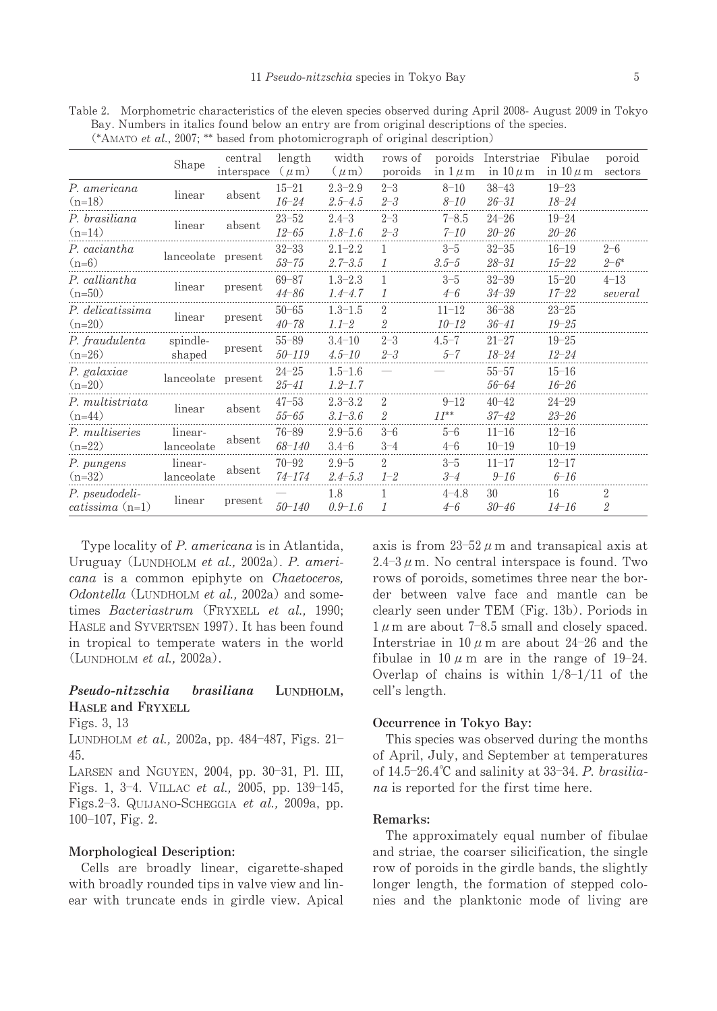|                                       | Shape                 | central            | length     | width       | rows of        | poroids      | Interstriae   | Fibulae       | poroid    |
|---------------------------------------|-----------------------|--------------------|------------|-------------|----------------|--------------|---------------|---------------|-----------|
|                                       |                       | interspace         | $(\mu m)$  | $(\mu m)$   | poroids        | in $1 \mu$ m | in $10 \mu$ m | in $10 \mu$ m | sectors   |
| P. americana                          | linear                | absent             | $15 - 21$  | $2.3 - 2.9$ | $2 - 3$        | $8 - 10$     | $38 - 43$     | $19 - 23$     |           |
| $(n=18)$                              |                       |                    | $16 - 24$  | $2.5 - 4.5$ | $2 - 3$        | $8 - 10$     | $26 - 31$     | $18 - 24$     |           |
| P. brasiliana<br>linear               | absent                | $23 - 52$          | $2.4 - 3$  | $2 - 3$     | $7 - 8.5$      | $24 - 26$    | $19 - 24$     |               |           |
| $(n=14)$                              |                       |                    | $12 - 65$  | $1.8 - 1.6$ | $2 - 3$        | $7 - 10$     | $20 - 26$     | $20 - 26$     |           |
| P. caciantha<br>$(n=6)$               |                       | lanceolate present | $32 - 33$  | $2.1 - 2.2$ | 1              | $3 - 5$      | $32 - 35$     | $16 - 19$     | $2 - 6$   |
|                                       |                       |                    | $53 - 75$  | $2.7 - 3.5$ | 1              | $3.5 - 5$    | $28 - 31$     | $15 - 22$     | $2 - 6^*$ |
| P. calliantha                         |                       |                    | $69 - 87$  | $1.3 - 2.3$ |                | $3 - 5$      | $32 - 39$     | $15 - 20$     | $4 - 13$  |
| $(n=50)$                              | linear                | present            | $44 - 86$  | $1.4 - 4.7$ | $\mathcal I$   | $4 - 6$      | $34 - 39$     | $17 - 22$     | several   |
| P. delicatissima                      | linear                | present            | $50 - 65$  | $1.3 - 1.5$ | 2              | $11 - 12$    | $36 - 38$     | $23 - 25$     |           |
| $(n=20)$                              |                       |                    | $40 - 78$  | $1.1 - 2$   | $\overline{2}$ | 10-12        | $36 - 41$     | $19 - 25$     |           |
| P. fraudulenta                        | spindle-              |                    | $55 - 89$  | $3.4 - 10$  | $2 - 3$        | $4.5 - 7$    | $21 - 27$     | $19 - 25$     |           |
| $(n=26)$                              | shaped                | present            | $50 - 119$ | $4.5 - 10$  | $2 - 3$        | $5 - 7$      | $18 - 24$     | 12–24         |           |
| P. galaxiae<br>$(n=20)$               | lanceolate present    |                    | $24 - 25$  | $1.5 - 1.6$ |                |              | $55 - 57$     | $15 - 16$     |           |
|                                       |                       |                    | $25 - 41$  | $1.2 - 1.7$ |                |              | 56-64         | $16 - 26$     |           |
| P. multistriata<br>linear<br>$(n=44)$ |                       |                    | $47 - 53$  | $2.3 - 3.2$ | $\overline{2}$ | $9 - 12$     | $40 - 42$     | $24 - 29$     |           |
|                                       |                       | absent             | $55 - 65$  | $3.1 - 3.6$ | $\overline{2}$ | $11^{**}$    | $37 - 42$     | $23 - 26$     |           |
| P. multiseries                        | linear-<br>lanceolate | absent             | $76 - 89$  | $2.9 - 5.6$ | $3 - 6$        | $5 - 6$      | $11 - 16$     | $12 - 16$     |           |
| $(n=22)$                              |                       |                    | 68-140     | $3.4 - 6$   | $3 - 4$        | $4 - 6$      | $10 - 19$     | $10 - 19$     |           |
| P. pungens                            | linear-<br>lanceolate | absent             | $70 - 92$  | $2.9 - 5$   | $\mathfrak{D}$ | $3 - 5$      | $11 - 17$     | $12 - 17$     |           |
| $(n=32)$                              |                       |                    | 74-174     | $2.4 - 5.3$ | $1 - 2$        | $3 - 4$      | $9 - 16$      | $6 - 16$      |           |
| P. pseudodeli-<br>$catissima$ (n=1)   |                       | present            |            | 1.8         |                | $4 - 4.8$    | 30            | 16            | 2         |
|                                       | linear                |                    | $50 - 140$ | $0.9 - 1.6$ | 1              | $4-6$        | $30 - 46$     | $14 - 16$     | 2         |

Table 2. Morphometric characteristics of the eleven species observed during April 2008-August 2009 in Tokyo Bay. Numbers in italics found below an entry are from original descriptions of the species. (\*AMATO et al., 2007; \*\* based from photomicrograph of original description)

Type locality of P. americana is in Atlantida, Uruguay (LUNDHOLM et al., 2002a). P. americana is a common epiphyte on Chaetoceros, Odontella (LUNDHOLM et al., 2002a) and sometimes Bacteriastrum (FRYXELL et al., 1990; HASLE and SYVERTSEN 1997). It has been found in tropical to temperate waters in the world  $(L$ UNDHOLM et al., 2002a).

## Pseudo-nitzschia brasiliana LUNDHOLM, HASLEandFRYXELL

Figs.3,13

LUNDHOLM *et al.*, 2002a, pp. 484–487, Figs. 21– 45.

LARSEN and NGUYEN, 2004, pp. 30–31, Pl. III, Figs. 1, 3-4. VILLAC *et al.*, 2005, pp. 139–145, Figs.2-3. QUIJANO-SCHEGGIA *et al.*, 2009a, pp. 100-107,Fig.2.

### Morphological Description:

Cells are broadly linear, cigarette-shaped with broadly rounded tips in valve view and linear with truncate ends in girdle view. Apical

axis is from  $23-52 \ \mu$  m and transapical axis at  $2.4-3 \mu$  m. No central interspace is found. Two rows of poroids, sometimes three near the border between valve face and mantle can be clearly seen under TEM (Fig. 13b). Poriods in  $1 \mu$  m are about 7-8.5 small and closely spaced. Interstriae in  $10 \mu$  m are about 24-26 and the fibulae in  $10 \mu$  m are in the range of 19-24. Overlap of chains is within  $1/8-1/11$  of the cell's length.

#### Occurrence in Tokyo Bay:

This species was observed during the months of April, July, and September at temperatures of  $14.5-26.4^{\circ}$ C and salinity at  $33-34$ . P. brasilia $na$  is reported for the first time here.

## Remarks:

The approximately equal number of fibulae and striae, the coarser silicification, the single row of poroids in the girdle bands, the slightly longer length, the formation of stepped colonies and the planktonic mode of living are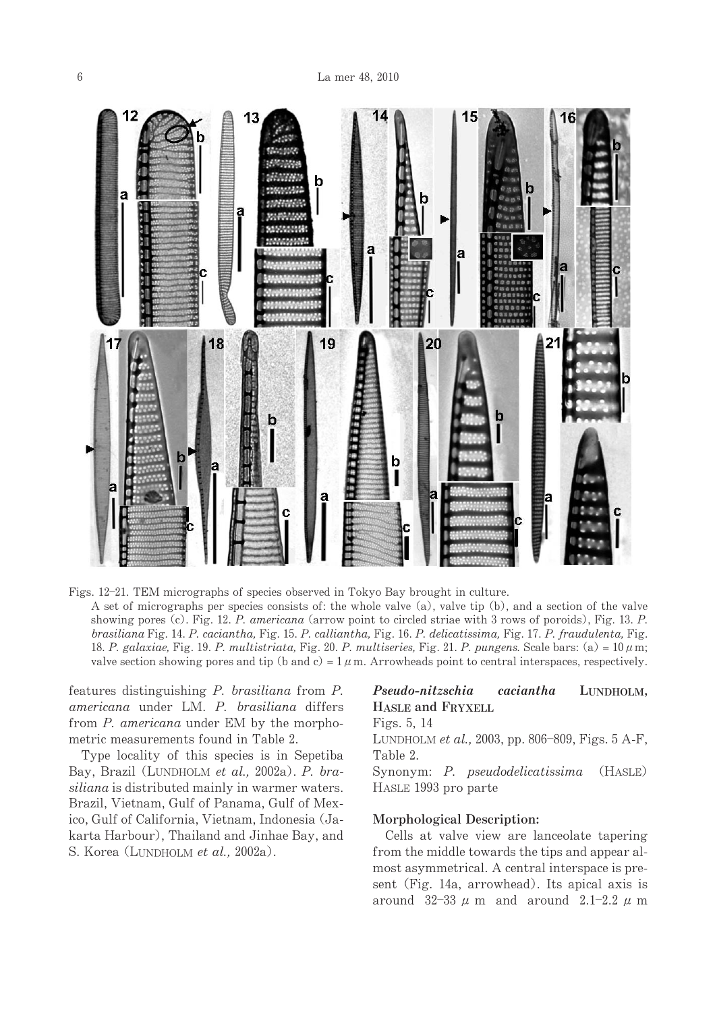

Figs. 12-21. TEM micrographs of species observed in Tokyo Bay brought in culture. A set of micrographs per species consists of: the whole valve  $(a)$ , valve tip  $(b)$ , and a section of the valve showing pores (c). Fig. 12. P. americana (arrow point to circled striae with 3 rows of poroids), Fig. 13. P. brasiliana Fig. 14. P. caciantha, Fig. 15. P. calliantha, Fig. 16. P. delicatissima, Fig. 17. P. fraudulenta, Fig. 18. P. galaxiae, Fig. 19. P. multistriata, Fig. 20. P. multiseries, Fig. 21. P. pungens. Scale bars: (a) =  $10 \mu$ m; valve section showing pores and tip (b and c) =  $1 \mu$ m. Arrowheads point to central interspaces, respectively.

features distinguishing  $P$ . brasiliana from  $P$ . americana under LM. P. brasiliana differs from P. americana under EM by the morphometric measurements found in Table 2.

Type locality of this species is in Sepetiba Bay, Brazil (LUNDHOLM et al., 2002a). P. brasiliana is distributed mainly in warmer waters. Brazil, Vietnam, Gulf of Panama, Gulf of Mexico, Gulf of California, Vietnam, Indonesia (Jakarta Harbour), Thailand and Jinhae Bay, and S. Korea (LUNDHOLM et al., 2002a).

## Pseudo-nitzschia caciantha LUNDHOLM, HASLEandFRYXELL

Figs.5,14

LUNDHOLM *et al.*, 2003, pp. 806–809, Figs. 5 A-F, Table 2.

Synonym: P. pseudodelicatissima (HASLE) HASLE 1993 pro parte

## Morphological Description:

Cells at valve view are lanceolate tapering from the middle towards the tips and appear almost asymmetrical. A central interspace is present (Fig. 14a, arrowhead). Its apical axis is around  $32-33$   $\mu$  m and around  $2.1-2.2$   $\mu$  m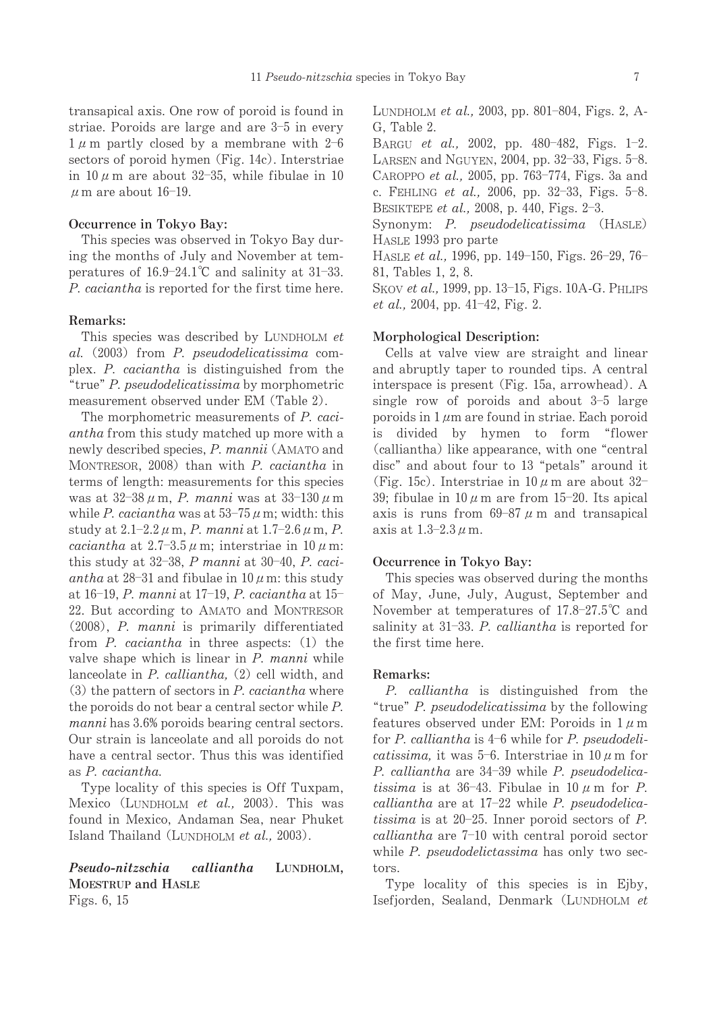transapical axis. One row of poroid is found in striae. Poroids are large and are 3-5 in every  $1 \mu$  m partly closed by a membrane with 2-6 sectors of poroid hymen (Fig. 14c). Interstriae in 10  $\mu$  m are about 32-35, while fibulae in 10  $\mu$  m are about 16-19.

#### Occurrence in Tokyo Bay:

This species was observed in Tokyo Bay during the months of July and November at temperatures of  $16.9-24.1^{\circ}$ C and salinity at 31-33. P. caciantha is reported for the first time here.

## Remarks:

This species was described by LUNDHOLM et al. (2003) from P. pseudodelicatissima complex. P. caciantha is distinguished from the "true" P. pseudodelicatissima by morphometric measurement observed under EM (Table 2).

The morphometric measurements of P. caci*antha* from this study matched up more with a newly described species, P. mannii (AMATO and MONTRESOR, 2008) than with P. caciantha in terms of length: measurements for this species was at  $32-38 \mu$  m, P. manni was at  $33-130 \mu$  m while P. caciantha was at  $53-75 \mu$  m; width: this study at  $2.1 - 2.2 \mu$  m, P. manni at  $1.7 - 2.6 \mu$  m, P. *caciantha* at  $2.7-3.5 \mu$  m; interstriae in 10  $\mu$  m: this study at  $32-38$ . P manni at  $30-40$ . P. caciantha at 28-31 and fibulae in  $10 \mu$  m: this study at 16-19, P. manni at 17-19, P. caciantha at 15-22. But according to AMATO and MONTRESOR (2008), P. manni is primarily differentiated from  $P$ , *caciantha* in three aspects: (1) the valve shape which is linear in P. manni while lanceolate in  $P.$  calliantha,  $(2)$  cell width, and  $(3)$  the pattern of sectors in P. caciantha where the poroids do not bear a central sector while  $P$ . manni has 3.6% poroids bearing central sectors. Our strain is lanceolate and all poroids do not have a central sector. Thus this was identified as P. caciantha.

Type locality of this species is Off Tuxpam, Mexico (LUNDHOLM et al., 2003). This was found in Mexico, Andaman Sea, near Phuket Island Thailand (LUNDHOLM et al., 2003).

#### Pseudo-nitzschia calliantha LUNDHOLM. **MOESTRUP** and HASLE Figs. 6, 15

LUNDHOLM et al., 2003, pp. 801-804, Figs. 2, A-G. Table 2.

BARGU et al., 2002, pp. 480-482, Figs. 1-2. LARSEN and NGUYEN, 2004, pp. 32-33, Figs. 5-8. CAROPPO et al., 2005, pp. 763-774, Figs. 3a and c. FEHLING et al., 2006, pp. 32-33, Figs. 5-8. BESIKTEPE et al., 2008, p. 440, Figs. 2-3.

Synonym: P. pseudodelicatissima (HASLE) HASLE 1993 pro parte

HASLE et al., 1996, pp. 149-150, Figs. 26-29, 76-81, Tables 1, 2, 8.

SKOV et al., 1999, pp. 13-15, Figs. 10A-G. PHLIPS *et al.*, 2004, pp. 41–42, Fig. 2.

#### Morphological Description:

Cells at valve view are straight and linear and abruptly taper to rounded tips. A central interspace is present (Fig. 15a, arrowhead). A single row of poroids and about  $3-5$  large poroids in  $1 \mu m$  are found in striae. Each poroid is divided by hymen to form "flower (calliantha) like appearance, with one "central disc" and about four to 13 "petals" around it (Fig. 15c). Interstriae in  $10 \mu$  m are about 32-39; fibulae in  $10 \mu$  m are from 15-20. Its apical axis is runs from 69-87  $\mu$  m and transapical axis at  $1.3-2.3 \mu$  m.

#### Occurrence in Tokvo Bav:

This species was observed during the months of May, June, July, August, September and November at temperatures of  $17.8-27.5^{\circ}$ C and salinity at 31-33. P. calliantha is reported for the first time here.

## Remarks:

P. calliantha is distinguished from the "true" P. pseudodelicatissima by the following features observed under EM: Poroids in  $1 \mu$ m for  $P$ . calliantha is  $4-6$  while for  $P$ . pseudodelicatissima, it was 5-6. Interstriae in  $10 \mu$  m for P. calliantha are 34-39 while P. pseudodelicatissima is at 36-43. Fibulae in 10  $\mu$  m for P. calliantha are at 17-22 while P. pseudodelica*tissima* is at 20-25. Inner poroid sectors of P. calliantha are  $7-10$  with central poroid sector while P. pseudodelictassima has only two sectors.

Type locality of this species is in Ejby, Isefjorden, Sealand, Denmark (LUNDHOLM et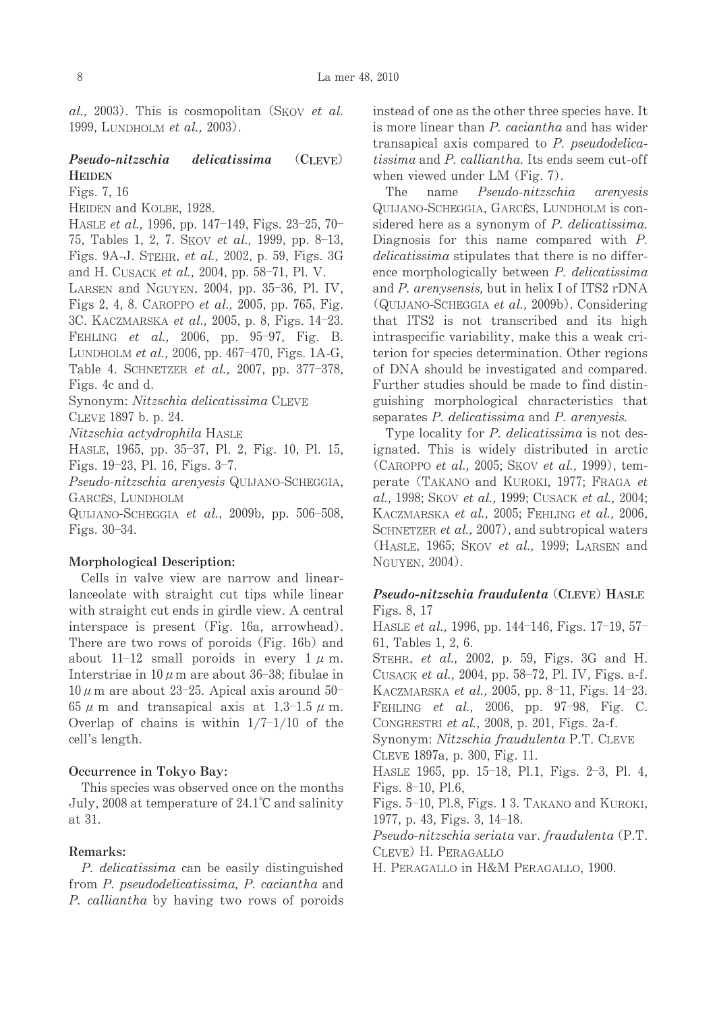al., 2003). This is cosmopolitan (SKOV et al. 1999, LUNDHOLM et al., 2003).

## Pseudo-nitzschia delicatissima (CLEVE) **HEIDEN**

Figs.7,16

HEIDEN and KOLBE, 1928.

HASLE *et al.,* 1996, pp. 147–149, Figs. 23–25, 70– 75, Tables 1, 2, 7. Skov *et al.*, 1999, pp. 8–13, Figs. 9A-J. STEHR, et al., 2002, p. 59, Figs. 3G and H. Cusack *et al.,* 2004, pp. 58–71, Pl. V.

LARSEN and NGUYEN, 2004, pp. 35–36, Pl. IV, Figs 2, 4, 8. CAROPPO *et al.*, 2005, pp. 765, Fig. 3C. KACZMARSKA *et al.,* 2005, p. 8, Figs. 14–23. FEHLING et al., 2006, pp. 95-97, Fig. B. LUNDHOLM *et al.,* 2006, pp. 467–470, Figs. 1A-G, Table 4. SCHNETZER *et al.*, 2007, pp. 377-378, Figs.4candd.

Synonym: Nitzschia delicatissima CLEVE

CLEVE1897b.p.24.

Nitzschia actydrophila HASLE

HASLE,1965,pp.35-37,Pl.2,Fig.10,Pl.15, Figs.19-23,Pl.16,Figs.3-7.

Pseudo-nitzschia arenyesis QUIJANO-SCHEGGIA, GARCÉS, LUNDHOLM

QUIJANO-SCHEGGIA *et al.*, 2009b, pp. 506–508, Figs.30-34.

## Morphological Description:

Cells in valve view are narrow and linearlanceolate with straight cut tips while linear with straight cut ends in girdle view. A central interspace is present (Fig. 16a, arrowhead). There are two rows of poroids (Fig. 16b) and about  $11-12$  small poroids in every  $1 \mu$  m. Interstriae in  $10 \, \mu$  m are about 36–38; fibulae in  $10 \mu$  m are about 23-25. Apical axis around  $50-$ 65  $\mu$  m and transapical axis at 1.3-1.5  $\mu$  m. Overlap of chains is within  $1/7-1/10$  of the cell's length.

## Occurrence in Tokyo Bay:

This species was observed once on the months July, 2008 at temperature of 24.1℃ and salinity at31.

## Remarks:

P. delicatissima can be easily distinguished from P. pseudodelicatissima, P. caciantha and P. calliantha by having two rows of poroids

instead of one as the other three species have. It is more linear than P. caciantha and has wider transapical axis compared to  $P$ . pseudodelicatissima and P. calliantha. Its ends seem cut-off when viewed under  $LM$  (Fig. 7).

The name Pseudo-nitzschia arenyesis QUIJANO-SCHEGGIA, GARCÉS, LUNDHOLM is considered here as a synonym of P. delicatissima. Diagnosis for this name compared with  $P$ . delicatissima stipulates that there is no difference morphologically between  $P$ . delicatissima and  $P$ . arenysensis, but in helix I of ITS2 rDNA  $(Q_{UIJANO\text{-}SCHEGGIA} et al., 2009b)$ . Considering that ITS2 is not transcribed and its high intraspecific variability, make this a weak criterion for species determination. Other regions of DNA should be investigated and compared. Further studies should be made to find distinguishing morphological characteristics that separates  $P$ . delicatissima and  $P$ . arenyesis.

Type locality for P. delicatissima is not designated. This is widely distributed in arctic  $(CAROPPO et al., 2005; SKOV et al., 1999), tem$ perate (TAKANO and KUROKI, 1977; FRAGA  $et$ al., 1998; SKOV et al., 1999; CUSACK et al., 2004; KACZMARSKA et al., 2005; FEHLING et al., 2006, SCHNETZER et al., 2007), and subtropical waters (HASLE, 1965; SKOV et al., 1999; LARSEN and NGUYEN, 2004).

## Pseudo-nitzschia fraudulenta (CLEVE) HASLE Figs.8,17

HASLE *et al.*, 1996, pp. 144–146, Figs. 17–19, 57– 61,Tables1,2,6.

STEHR, et al., 2002, p. 59, Figs. 3G and H. CUSACK *et al.*, 2004, pp. 58–72, Pl. IV, Figs. a-f. KACZMARSKA *et al.,* 2005, pp. 8–11, Figs. 14–23. FEHLING et al., 2006, pp. 97-98, Fig. C. CONGRESTRI et al., 2008, p. 201, Figs. 2a-f. Synonym: Nitzschia fraudulenta P.T. CLEVE

CLEVE1897a,p.300,Fig.11.

HASLE 1965,pp.15-18,Pl.1,Figs.2-3,Pl.4, Figs. 8–10, Pl.6,

Figs.5-10,Pl.8,Figs.13.TAKANOandKUROKI, 1977,p.43,Figs.3,14-18.

Pseudo-nitzschia seriata var. fraudulenta (P.T. CLEVE) H. PERAGALLO

H. PERAGALLO in H&M PERAGALLO, 1900.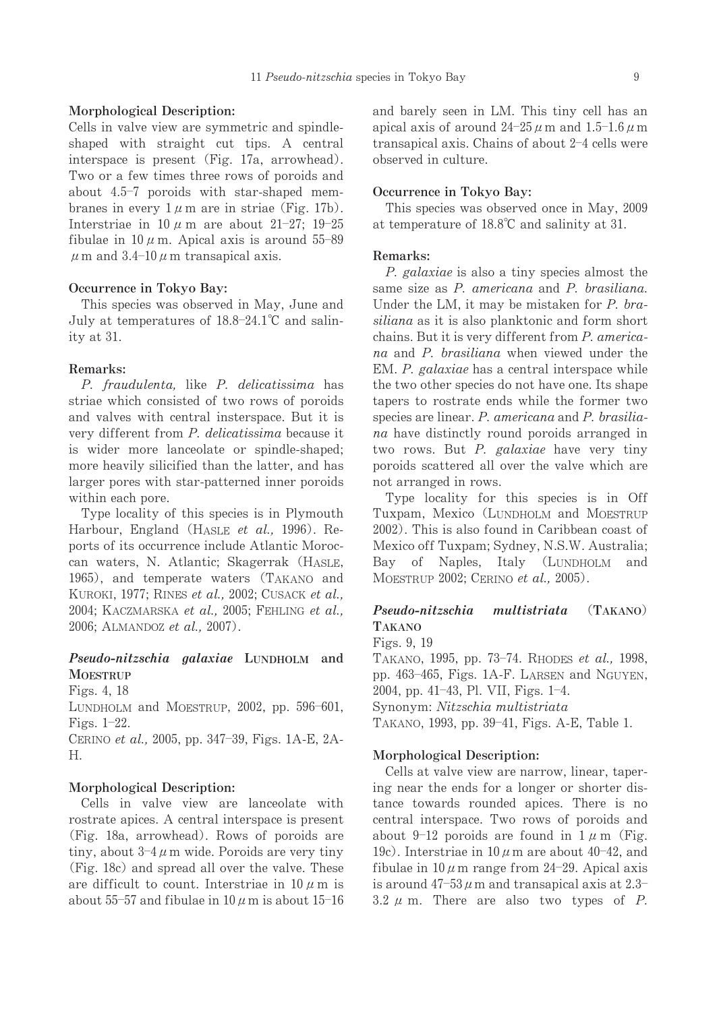### Morphological Description:

Cells in valve view are symmetric and spindleshaped with straight cut tips. A central interspace is present (Fig. 17a, arrowhead). Two or a few times three rows of poroids and about 4.5-7 poroids with star-shaped membranes in every  $1 \mu$  m are in striae (Fig. 17b). Interstriae in 10  $\mu$  m are about 21-27; 19-25 fibulae in 10  $\mu$  m. Apical axis is around 55–89  $\mu$  m and 3.4-10  $\mu$  m transapical axis.

## Occurrence in Tokyo Bay:

This species was observed in May, June and July at temperatures of 18.8–24.1℃ and salinityat31.

### Remarks:

P. fraudulenta, like P. delicatissima has striae which consisted of two rows of poroids and valves with central insterspace. But it is very different from P. delicatissima because it is wider more lanceolate or spindle-shaped; more heavily silicified than the latter, and has larger pores with star-patterned inner poroids within each pore.

Type locality of this species is in Plymouth Harbour, England (HASLE et al., 1996). Reports of its occurrence include Atlantic Moroccan waters, N. Atlantic; Skagerrak (HASLE, 1965), and temperate waters (TAKANO and KUROKI, 1977; RINES et al., 2002; CUSACK et al., 2004; KACZMARSKA et al., 2005; FEHLING et al., 2006; ALMANDOZ et al., 2007).

## Pseudo-nitzschia galaxiae LUNDHOLM and **MOESTRUP**

Figs.4,18 LUNDHOLM and MOESTRUP, 2002, pp. 596–601, Figs.1-22. CERINO *et al.*, 2005, pp. 347–39, Figs. 1A-E, 2A-H.

#### Morphological Description:

Cells in valve view are lanceolate with rostrate apices. A central interspace is present (Fig. 18a, arrowhead). Rows of poroids are tiny, about  $3-4 \mu$ m wide. Poroids are very tiny (Fig. 18c) and spread all over the valve. These are difficult to count. Interstriae in  $10 \mu$  m is about  $55$ –57 and fibulae in  $10\,\mu$  m is about  $15$ –16 and barely seen in LM. This tiny cell has an apical axis of around  $24\text{--}25\,\mu$  m and  $1.5\text{--}1.6\,\mu$  m transapical axis. Chains of about 2-4 cells were observed in culture.

## Occurrence in Tokyo Bay:

This species was observed once in May, 2009 at temperature of  $18.8^{\circ}$ C and salinity at 31.

#### Remarks:

P. galaxiae is also a tiny species almost the same size as P. americana and P. brasiliana. Under the LM, it may be mistaken for  $P$ . brasiliana as it is also planktonic and form short chains. But it is very different from P. americana and P. brasiliana when viewed under the EM. P. galaxiae has a central interspace while the two other species do not have one. Its shape tapers to rostrate ends while the former two species are linear. P. americana and P. brasiliana have distinctly round poroids arranged in two rows. But  $P$ . galaxiae have very tiny poroids scattered all over the valve which are not arranged in rows.

Type locality for this species is in Off Tuxpam, Mexico (LUNDHOLM and MOESTRUP 2002). This is also found in Caribbean coast of Mexico off Tuxpam; Sydney, N.S.W. Australia; Bay of Naples, Italy (LUNDHOLM and MOESTRUP 2002; CERINO et al., 2005).

## Pseudo-nitzschia multistriata (TAKANO) TAKANO

Figs.9,19

TAKANO, 1995, pp. 73–74. RHODES et al., 1998, pp. 463–465, Figs. 1A-F. LARSEN and NGUYEN, 2004,pp.41-43,Pl.VII,Figs.1-4. Synonym: Nitzschia multistriata TAKANO,1993,pp.39-41,Figs.A-E,Table1.

## Morphological Description:

Cells at valve view are narrow, linear, tapering near the ends for a longer or shorter distance towards rounded apices. There is no central interspace. Two rows of poroids and about 9-12 poroids are found in  $1 \mu$  m (Fig. 19c). Interstriae in  $10 \mu$  m are about 40-42, and fibulae in  $10 \mu$  m range from 24-29. Apical axis is around  $47-53 \mu$  m and transapical axis at  $2.3-$ 3.2  $\mu$  m. There are also two types of P.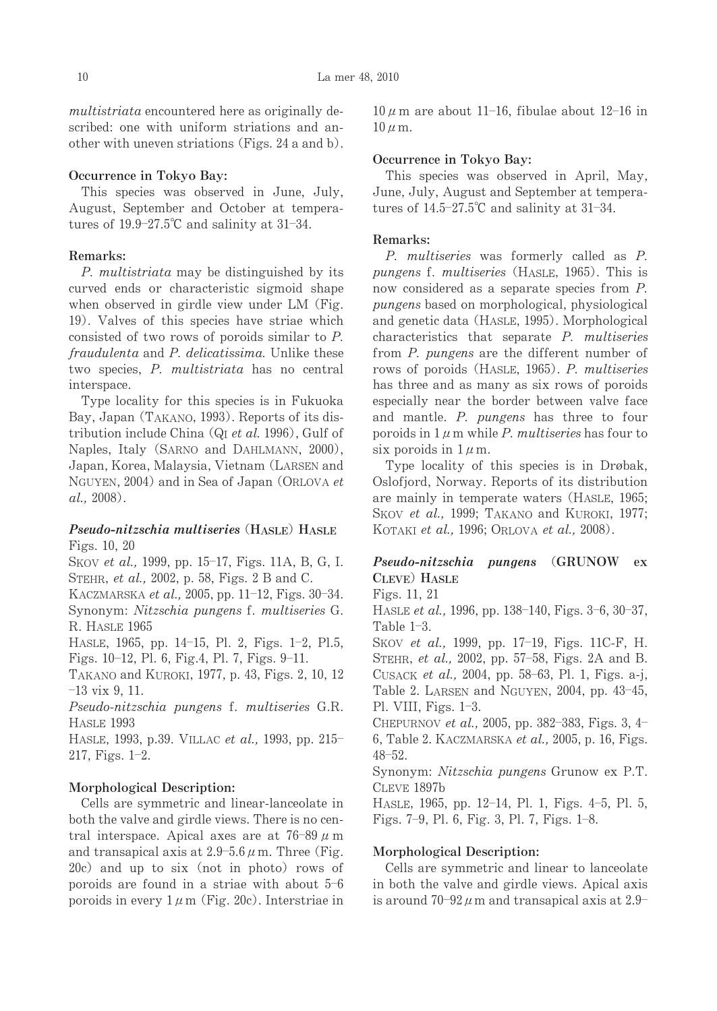multistriata encountered here as originally described: one with uniform striations and another with uneven striations (Figs. 24 a and b).

## Occurrence in Tokyo Bay:

This species was observed in June, July, August, September and October at temperatures of  $19.9-27.5^{\circ}\text{C}$  and salinity at 31-34.

## Remarks:

P. multistriata may be distinguished by its curved ends or characteristic sigmoid shape when observed in girdle view under LM (Fig. 19). Valves of this species have striae which consisted of two rows of poroids similar to P. fraudulenta and P. delicatissima. Unlike these two species, P. multistriata has no central interspace.

Type locality for this species is in Fukuoka Bay, Japan (TAKANO, 1993). Reports of its distribution include China ( $Q<sub>I</sub>$  *et al.* 1996), Gulf of Naples, Italy (SARNO and DAHLMANN, 2000), Japan, Korea, Malaysia, Vietnam (LARSEN and NGUYEN, 2004) and in Sea of Japan (ORLOVA et al.,2008).

## Pseudo-nitzschia multiseries (HASLE) HASLE Figs.10,20

Skov *et al.,* 1999, pp. 15–17, Figs. 11A, B, G, I. STEHR, et al., 2002, p. 58, Figs. 2 B and C.

KACZMARSKA *et al.,* 2005, pp. 11–12, Figs. 30–34. Synonym: Nitzschia pungens f. multiseries G. R. HASLE 1965

HASLE, 1965, pp. 14–15, Pl. 2, Figs. 1–2, Pl.5, Figs.10-12,Pl.6,Fig.4,Pl.7,Figs.9-11.

TAKANO and KUROKI, 1977, p. 43, Figs. 2, 10, 12 -13vix9,11.

Pseudo-nitzschia pungens f. multiseries G.R. HASLE 1993

HASLE, 1993, p.39. VILLAC *et al.*, 1993, pp. 215-217,Figs.1-2.

#### Morphological Description:

Cells are symmetric and linear-lanceolate in both the valve and girdle views. There is no central interspace. Apical axes are at  $76-89 \mu$  m and transapical axis at  $2.9-5.6 \,\mu$  m. Three (Fig.  $20c$  and up to six (not in photo) rows of poroids are found in a striae with about 5-6 poroids in every  $1 \mu$  m (Fig. 20c). Interstriae in

 $10 \mu$  m are about 11–16, fibulae about 12–16 in  $10 \mu$  m.

#### Occurrence in Tokyo Bay:

This species was observed in April, May, June, July, August and September at temperatures of  $14.5-27.5^{\circ}\text{C}$  and salinity at 31-34.

## Remarks:

P. multiseries was formerly called as P. pungens f. multiseries (HASLE, 1965). This is now considered as a separate species from P. pungens based on morphological, physiological and genetic data (HASLE, 1995). Morphological characteristics that separate  $P$ . multiseries from P. pungens are the different number of rows of poroids (HASLE, 1965). P. multiseries has three and as many as six rows of poroids especially near the border between valve face and mantle. P. pungens has three to four poroids in  $1 \mu$  m while P. multiseries has four to six poroids in  $1 \mu$ m.

Type locality of this species is in Drøbak, Oslofjord, Norway. Reports of its distribution are mainly in temperate waters (HASLE, 1965; SKOV et al., 1999; TAKANO and KUROKI, 1977; KOTAKI et al., 1996; ORLOVA et al., 2008).

## Pseudo-nitzschia pungens (GRUNOW ex CLEVE) HASLE

Figs.11,21

HASLE *et al.*, 1996, pp. 138–140, Figs. 3–6, 30–37, Table  $1-3$ .

SKOV *et al.*, 1999, pp. 17–19, Figs. 11C-F, H. STEHR, *et al.*, 2002, pp. 57–58, Figs. 2A and B. CUSACK *et al.*, 2004, pp. 58–63, Pl. 1, Figs. a-j, Table 2. LARSEN and NGUYEN, 2004, pp. 43-45, Pl.VIII,Figs.1-3.

CHEPURNOV *et al.*, 2005, pp. 382–383, Figs. 3, 4– 6, Table 2. KACZMARSKA et al., 2005, p. 16, Figs. 48-52.

Synonym: *Nitzschia pungens* Grunow ex P.T. CLEVE 1897b

HASLE,1965,pp.12-14,Pl.1,Figs.4-5,Pl.5, Figs.7-9,Pl.6,Fig.3,Pl.7,Figs.1-8.

#### Morphological Description:

Cells are symmetric and linear to lanceolate in both the valve and girdle views. Apical axis is around  $70-92 \mu$  m and transapical axis at  $2.9-$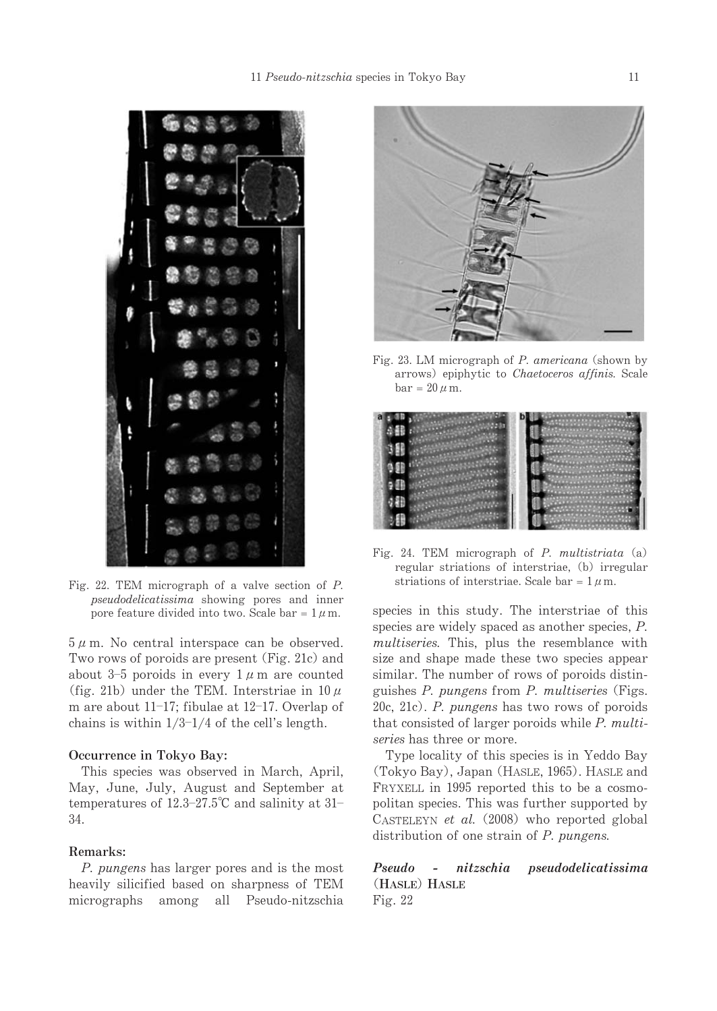

Fig. 22. TEM micrograph of a valve section of  $P$ . pseudodelicatissima showing pores and inner pore feature divided into two. Scale bar =  $1 \mu$ m.

 $5 \mu$  m. No central interspace can be observed. Two rows of poroids are present (Fig. 21c) and about 3–5 poroids in every  $1 \mu$  m are counted (fig. 21b) under the TEM. Interstriae in  $10 \mu$ m are about 11–17; fibulae at 12–17. Overlap of chains is within  $1/3$ - $1/4$  of the cell's length.

## Occurrence in Tokyo Bay:

This species was observed in March, April, May, June, July, August and September at temperatures of  $12.3-27.5^{\circ}$ C and salinity at  $31-$ 34.

#### Remarks:

P. pungens has larger pores and is the most heavily silicified based on sharpness of TEM micrographs among all Pseudo-nitzschia



Fig. 23. LM micrograph of  $P$ . americana (shown by arrows) epiphytic to Chaetoceros affinis. Scale bar =  $20 \mu$  m.

| а |  |
|---|--|
|   |  |
|   |  |
|   |  |
|   |  |
|   |  |

Fig. 24. TEM micrograph of  $P$ . multistriata (a) regular striations of interstriae, (b) irregular striations of interstriae. Scale bar =  $1 \mu$ m.

species in this study. The interstriae of this species are widely spaced as another species,  $P$ . multiseries. This, plus the resemblance with size and shape made these two species appear similar. The number of rows of poroids distinguishes  $P$ . pungens from  $P$ . multiseries (Figs. 20c, 21c). P. pungens has two rows of poroids that consisted of larger poroids while  $P$ . multiseries has three or more.

Type locality of this species is in Yeddo Bay (Tokyo Bay), Japan (HASLE, 1965). HASLE and FRYXELL in 1995 reported this to be a cosmopolitan species. This was further supported by CASTELEYN et al.  $(2008)$  who reported global distribution of one strain of  $P$ . pungens.

Pseudo - nitzschia pseudodelicatissima (HASLE) HASLE Fig.22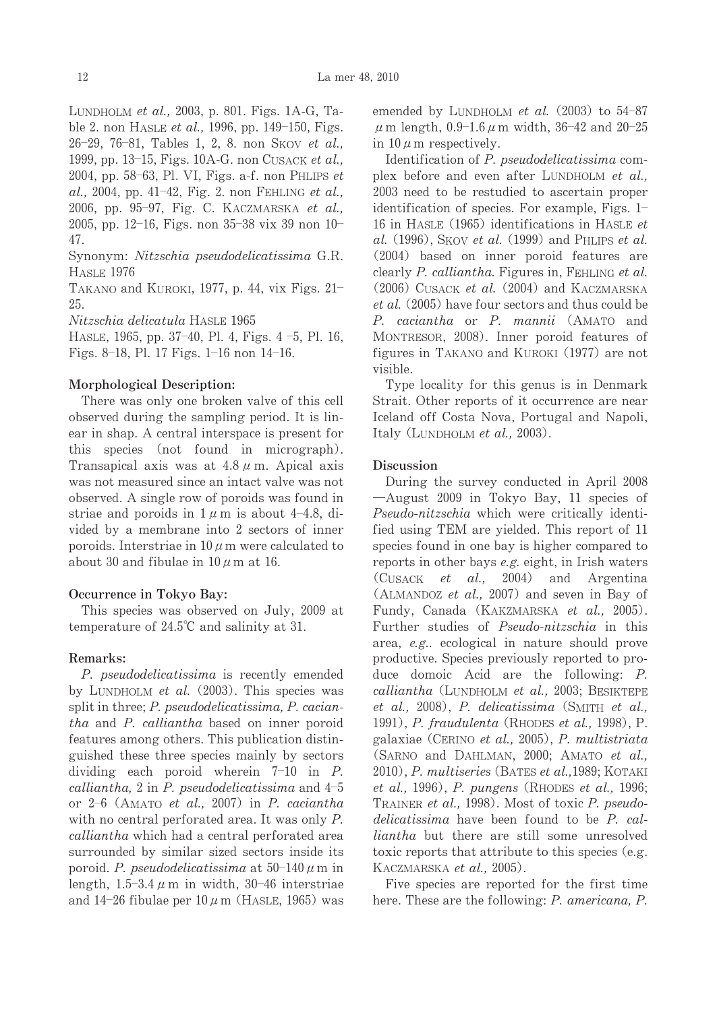LUNDHOLM et al., 2003, p. 801. Figs. 1A-G, Table 2. non HASLE *et al.*, 1996, pp. 149–150, Figs. 26–29, 76–81, Tables 1, 2, 8. non SKOV *et al.,* 1999, pp. 13–15, Figs. 10A-G. non Cusack *et al.*, 2004, pp. 58–63, Pl. VI, Figs. a-f. non PHLIPS et  $al.$ , 2004, pp. 41–42, Fig. 2. non FEHLING et  $al.$ 2006, pp. 95–97, Fig. C. KACZMARSKA *et al.,* 2005,pp.12-16,Figs.non35-38vix39non10-47.

Synonym: Nitzschia pseudodelicatissima G.R. HASLE 1976

TAKANO and KUROKI, 1977, p. 44, vix Figs.  $21$ – 25.

Nitzschia delicatula HASLE 1965

HASLE,1965,pp.37-40,Pl.4,Figs.4-5,Pl.16, Figs.8-18,Pl.17Figs.1-16non14-16.

## Morphological Description:

There was only one broken valve of this cell observed during the sampling period. It is linear in shap. A central interspace is present for this species (not found in micrograph). Transapical axis was at  $4.8 \mu$  m. Apical axis was not measured since an intact valve was not observed. A single row of poroids was found in striae and poroids in  $1 \mu$  m is about 4-4.8, divided by a membrane into 2 sectors of inner poroids. Interstriae in  $10 \mu$ m were calculated to about 30 and fibulae in  $10 \mu$  m at 16.

### Occurrence in Tokyo Bay:

This species was observed on July, 2009 at temperature of  $24.5^{\circ}$ C and salinity at 31.

#### Remarks:

P. pseudodelicatissima is recently emended by LUNDHOLM et al.  $(2003)$ . This species was split in three; P. pseudodelicatissima, P. caciantha and P. calliantha based on inner poroid features among others. This publication distinguished these three species mainly by sectors dividing each poroid wherein 7-10 in P. calliantha, 2 in P. pseudodelicatissima and  $4-5$ or 2–6 (AMATO et al., 2007) in P. caciantha with no central perforated area. It was only  $P$ . calliantha which had a central perforated area surrounded by similar sized sectors inside its poroid. P. pseudodelicatissima at  $50-140 \,\mu$  m in length,  $1.5-3.4 \mu$  m in width,  $30-46$  interstriae and 14–26 fibulae per  $10\,\mu$  m (HASLE, 1965) was

emended by LUNDHOLM *et al.*  $(2003)$  to  $54-87$  $μ$  m length, 0.9–1.6  $μ$  m width, 36–42 and 20–25 in  $10 \mu$  m respectively.

Identification of P. pseudodelicatissima complex before and even after LUNDHOLM et  $al$ . 2003 need to be restudied to ascertain proper identification of species. For example, Figs.  $1-$ 16 in HASLE (1965) identifications in HASLE  $et$ al. (1996), SKOV et al. (1999) and PHLIPS et al. (2004) based on inner poroid features are clearly P. calliantha. Figures in, FEHLING et al. (2006) CUSACK et al. (2004) and KACZMARSKA  $et al.$  (2005) have four sectors and thus could be P. caciantha or P. mannii (AMATO and MONTRESOR, 2008). Inner poroid features of figures in TAKANO and KUROKI (1977) are not visible.

Type locality for this genus is in Denmark Strait. Other reports of it occurrence are near Iceland off Costa Nova, Portugal and Napoli, Italy (LUNDHOLM et al.,  $2003$ ).

#### **Discussion**

During the survey conducted in April 2008  $-A$ ugust 2009 in Tokyo Bay, 11 species of Pseudo-nitzschia which were critically identified using TEM are yielded. This report of 11 species found in one bay is higher compared to reports in other bays e.g. eight, in Irish waters (CUSACK et al., 2004) and Argentina (ALMANDOZ et al., 2007) and seven in Bay of Fundy, Canada (KAKZMARSKA et al., 2005). Further studies of Pseudo-nitzschia in this area, e.g.. ecological in nature should prove productive. Species previously reported to produce domoic Acid are the following: P.  $calliantha$  (LUNDHOLM et al., 2003; BESIKTEPE et al., 2008), P. delicatissima (SMITH et al., 1991), *P. fraudulenta* (RHODES *et al.*, 1998), P. galaxiae (CERINO et al., 2005),  $P.$  multistriata (SARNO and DAHLMAN, 2000; AMATO et al., 2010), P. multiseries (BATES et al., 1989; KOTAKI et al., 1996), P. pungens (RHODES et al., 1996; TRAINER et al., 1998). Most of toxic P. pseudo $delicatissima$  have been found to be  $P.cal$ liantha but there are still some unresolved toxic reports that attribute to this species (e.g. KACZMARSKA et al., 2005).

Five species are reported for the first time here. These are the following: P. americana, P.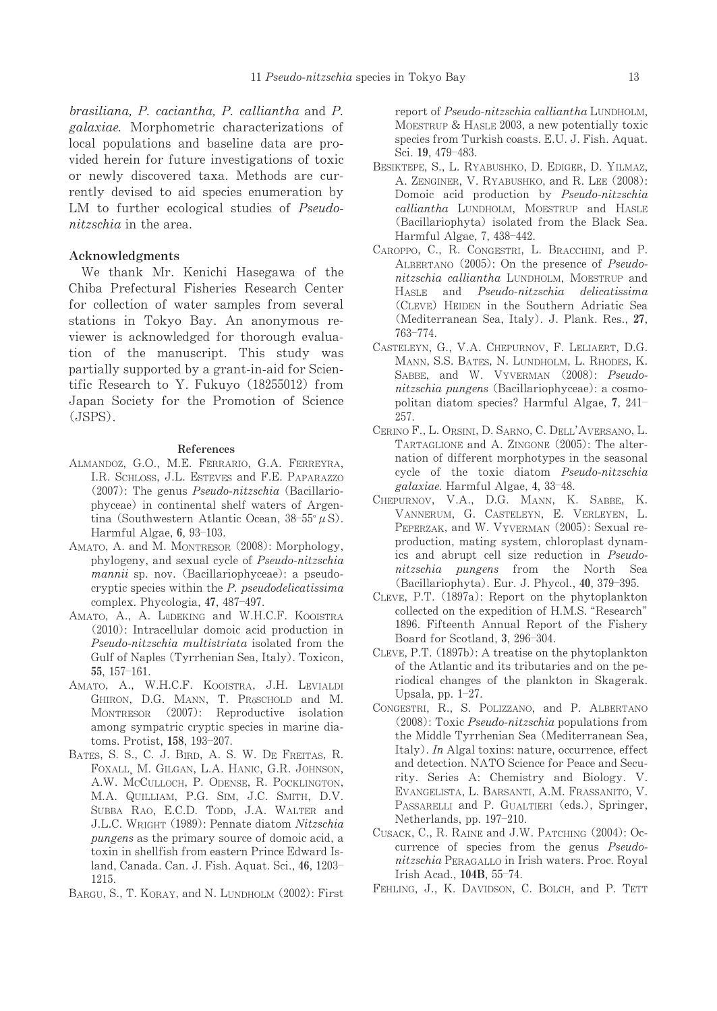brasiliana, P. caciantha, P. calliantha and P. *galaxiae*. Morphometric characterizations of local populations and baseline data are provided herein for future investigations of toxic or newly discovered taxa. Methods are currently devised to aid species enumeration by LM to further ecological studies of *Pseudo*nitzschia in the area.

#### Acknowledgments

We thank Mr. Kenichi Hasegawa of the Chiba Prefectural Fisheries Research Center for collection of water samples from several stations in Tokyo Bay. An anonymous reviewer is acknowledged for thorough evaluation of the manuscript. This study was partially supported by a grant-in-aid for Scientific Research to Y. Fukuvo (18255012) from Japan Society for the Promotion of Science  $(JSPS)$ .

#### References

- ALMANDOZ, G.O., M.E. FERRARIO, G.A. FERREYRA, I.R. SCHLOSS, J.L. ESTEVES and F.E. PAPARAZZO  $(2007)$ : The genus *Pseudo-nitzschia* (Bacillariophyceae) in continental shelf waters of Argentina (Southwestern Atlantic Ocean,  $38-55^{\circ} \mu S$ ). Harmful Algae, 6, 93-103.
- AMATO, A. and M. MONTRESOR (2008): Morphology, phylogeny, and sexual cycle of Pseudo-nitzschia mannii sp. nov. (Bacillariophyceae): a pseudocryptic species within the  $P$ . pseudodelicatissima complex. Phycologia, 47, 487-497.
- AMATO, A., A. LÜDEKING and W.H.C.F. KOOISTRA  $(2010)$ : Intracellular domoic acid production in Pseudo-nitzschia multistriata isolated from the Gulf of Naples (Tyrrhenian Sea, Italy). Toxicon, 55, 157-161.
- AMATO, A., W.H.C.F. KOOISTRA, J.H. LEVIALDI GHIRON, D.G. MANN, T. PRÖSCHOLD and M. MONTRESOR (2007): Reproductive isolation among sympatric cryptic species in marine diatoms. Protist, 158, 193-207.
- BATES, S. S., C. J. BIRD, A. S. W. DE FREITAS, R. FOXALL, M. GILGAN, L.A. HANIC, G.R. JOHNSON, A.W. MCCULLOCH, P. ODENSE, R. POCKLINGTON, M.A. QUILLIAM, P.G. SIM, J.C. SMITH, D.V. SUBBA RAO, E.C.D. TODD, J.A. WALTER and J.L.C. WRIGHT (1989): Pennate diatom Nitzschia *pungens* as the primary source of domoic acid, a toxin in shellfish from eastern Prince Edward Island, Canada. Can. J. Fish. Aquat. Sci., 46, 1203-1215.
- BARGU, S., T. KORAY, and N. LUNDHOLM (2002): First

report of Pseudo-nitzschia calliantha LUNDHOLM. MOESTRUP & HASLE 2003, a new potentially toxic species from Turkish coasts. E.U. J. Fish. Aquat. Sci. 19, 479-483.

- BESIKTEPE, S., L. RYABUSHKO, D. EDIGER, D. YILMAZ, A. ZENGINER, V. RYABUSHKO, and R. LEE (2008): Domoic acid production by Pseudo-nitzschia calliantha LUNDHOLM, MOESTRUP and HASLE (Bacillariophyta) isolated from the Black Sea. Harmful Algae, 7, 438-442.
- CAROPPO, C., R. CONGESTRI, L. BRACCHINI, and P. ALBERTANO (2005): On the presence of Pseudonitzschia calliantha LUNDHOLM, MOESTRUP and HASLE and Pseudo-nitzschia delicatissima (CLEVE) HEIDEN in the Southern Adriatic Sea (Mediterranean Sea, Italy). J. Plank. Res., 27, 763-774.
- CASTELEYN, G., V.A. CHEPURNOV, F. LELIAERT, D.G. MANN, S.S. BATES, N. LUNDHOLM, L. RHODES, K. SABBE, and W. VYVERMAN (2008): Pseudonitzschia pungens (Bacillariophyceae): a cosmopolitan diatom species? Harmful Algae, 7, 241-257.
- CERINO F., L. ORSINI, D. SARNO, C. DELL'AVERSANO, L. TARTAGLIONE and A. ZINGONE (2005): The alternation of different morphotypes in the seasonal cycle of the toxic diatom Pseudo-nitzschia galaxiae. Harmful Algae, 4, 33-48.
- CHEPURNOV, V.A., D.G. MANN, K. SABBE, K. VANNERUM, G. CASTELEYN, E. VERLEYEN, L. PEPERZAK, and W. VYVERMAN (2005): Sexual reproduction, mating system, chloroplast dynamics and abrupt cell size reduction in Pseudonitzschia pungens from the North Sea (Bacillariophyta). Eur. J. Phycol., 40, 379-395.
- CLEVE, P.T. (1897a): Report on the phytoplankton collected on the expedition of H.M.S. "Research" 1896. Fifteenth Annual Report of the Fishery Board for Scotland, 3, 296-304.
- CLEVE, P.T. (1897b): A treatise on the phytoplankton of the Atlantic and its tributaries and on the periodical changes of the plankton in Skagerak. Upsala, pp.  $1-27$ .
- CONGESTRI, R., S. POLIZZANO, and P. ALBERTANO (2008): Toxic Pseudo-nitzschia populations from the Middle Tyrrhenian Sea (Mediterranean Sea, Italy). In Algal toxins: nature, occurrence, effect and detection. NATO Science for Peace and Security. Series A: Chemistry and Biology. V. EVANGELISTA, L. BARSANTI, A.M. FRASSANITO, V. PASSARELLI and P. GUALTIERI (eds.), Springer, Netherlands, pp. 197-210.
- CUSACK, C., R. RAINE and J.W. PATCHING (2004): Occurrence of species from the genus Pseudonitzschia PERAGALLO in Irish waters. Proc. Royal Irish Acad., 104B, 55-74.
- FEHLING, J., K. DAVIDSON, C. BOLCH, and P. TETT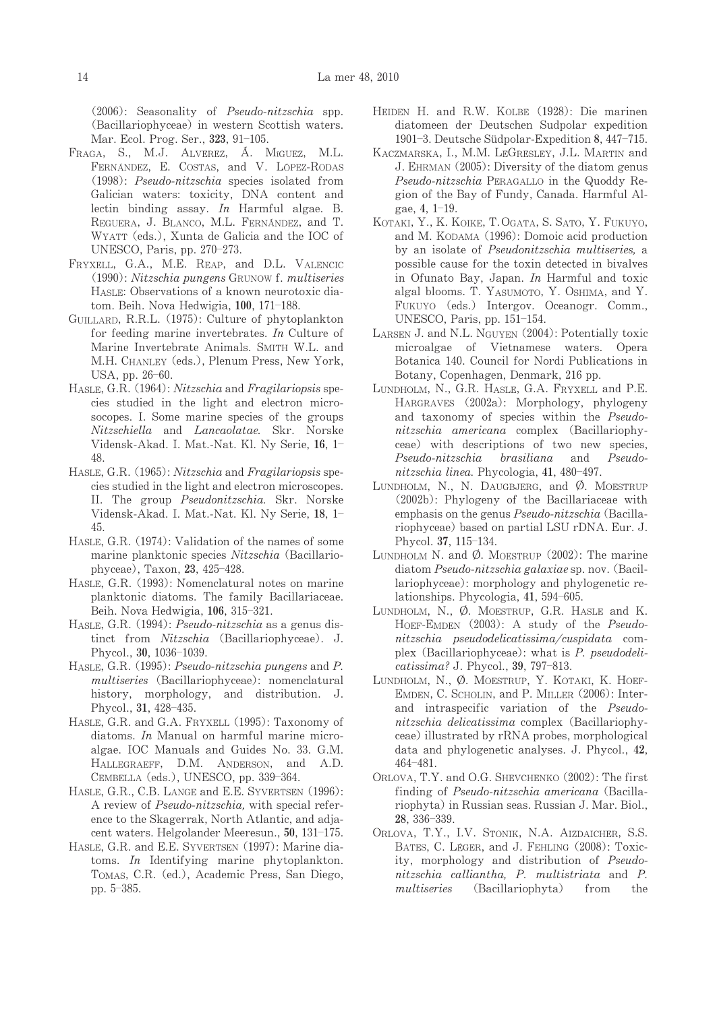$(2006)$ : Seasonality of *Pseudo-nitzschia* spp. (Bacillariophyceae) in western Scottish waters. Mar. Ecol. Prog. Ser., 323, 91–105.

- Fraga, S., M.J. Alverez, A. Miguez, M.L. FERNÁNDEZ, E. COSTAS, and V. LÓPEZ-RODAS  $(1998)$ : Pseudo-nitzschia species isolated from Galician waters: toxicity, DNA content and lectin binding assay. In Harmful algae. B. REGUERA, J. BLANCO, M.L. FERNÁNDEZ, and T. WYATT (eds.), Xunta de Galicia and the IOC of UNESCO,Paris,pp.270-273.
- FRYXELL, G.A., M.E. REAP, and D.L. VALENCIC (1990): Nitzschia pungens GRUNOW f. multiseries HASLE: Observations of a known neurotoxic diatom. Beih. Nova Hedwigia, **100**, 171–188.
- GUILLARD, R.R.L. (1975): Culture of phytoplankton for feeding marine invertebrates. In Culture of Marine Invertebrate Animals. SMITH W.L. and M.H. CHANLEY (eds.), Plenum Press, New York, USA,pp.26-60.
- HASLE, G.R. (1964): Nitzschia and Fragilariopsis species studied in the light and electron microsocopes. I. Some marine species of the groups Nitzschiella and Lancaolatae. Skr. Norske Vidensk-Akad. I. Mat.-Nat. Kl. Ny Serie, 16, 1-48.
- HASLE, G.R. (1965): Nitzschia and Fragilariopsis species studied in the light and electron microscopes. II. The group Pseudonitzschia. Skr. Norske Vidensk-Akad. I. Mat.-Nat. Kl. Ny Serie, 18, 1-45.
- HASLE, G.R. (1974): Validation of the names of some marine planktonic species Nitzschia (Bacillariophyceae), Taxon, 23, 425–428.
- HASLE, G.R. (1993): Nomenclatural notes on marine planktonic diatoms. The family Bacillariaceae. Beih. Nova Hedwigia, 106, 315–321.
- HASLE, G.R. (1994): *Pseudo-nitzschia* as a genus distinct from Nitzschia (Bacillariophyceae). J. Phycol.,30,1036-1039.
- HASLE, G.R. (1995): Pseudo-nitzschia pungens and P. multiseries (Bacillariophyceae): nomenclatural history, morphology, and distribution. J. Phycol.,31,428-435.
- HASLE, G.R. and G.A. FRYXELL (1995): Taxonomy of diatoms. In Manual on harmful marine microalgae. IOC Manuals and Guides No. 33. G.M. HALLEGRAEFF, D.M. ANDERSON, and A.D. CEMBELLA (eds.), UNESCO, pp. 339–364.
- HASLE, G.R., C.B. LANGE and E.E. SYVERTSEN (1996): A review of Pseudo-nitzschia, with special reference to the Skagerrak, North Atlantic, and adjacent waters. Helgolander Meeresun., 50, 131-175.
- HASLE, G.R. and E.E. SYVERTSEN (1997): Marine diatoms. In Identifying marine phytoplankton. TOMAS, C.R. (ed.), Academic Press, San Diego, pp.5-385.
- HEIDEN H. and R.W. KOLBE (1928): Die marinen diatomeen der Deutschen Sudpolar expedition 1901–3. Deutsche Südpolar-Expedition 8, 447–715.
- KACZMARSKA, I., M.M. LEGRESLEY, J.L. MARTIN and J. EHRMAN (2005): Diversity of the diatom genus Pseudo-nitzschia PERAGALLO in the Quoddy Region of the Bay of Fundy, Canada. Harmful Algae,4,1-19.
- KOTAKI, Y., K. KOIKE, T. OGATA, S. SATO, Y. FUKUYO, and M. KODAMA (1996): Domoic acid production by an isolate of Pseudonitzschia multiseries, a possible cause for the toxin detected in bivalves in Ofunato Bay, Japan. In Harmful and toxic algal blooms. T. YASUMOTO, Y. OSHIMA, and Y. FUKUYO (eds.) Intergov. Oceanogr. Comm., UNESCO, Paris, pp. 151–154.
- LARSEN J. and N.L. NGUYEN (2004): Potentially toxic microalgae of Vietnamese waters. Opera Botanica 140. Council for Nordi Publications in Botany, Copenhagen, Denmark, 216 pp.
- LUNDHOLM, N., G.R. HASLE, G.A. FRYXELL and P.E. HARGRAVES (2002a): Morphology, phylogeny and taxonomy of species within the Pseudonitzschia americana complex (Bacillariophyceae) with descriptions of two new species, Pseudo-nitzschia brasiliana and Pseudonitzschia linea. Phycologia, 41, 480-497.
- LUNDHOLM, N., N. DAUGBJERG, and  $\emptyset$ . MOESTRUP (2002b): Phylogeny of the Bacillariaceae with emphasis on the genus *Pseudo-nitzschia* (Bacillariophyceae) based on partial LSU rDNA. Eur. J. Phycol.37,115-134.
- LUNDHOLM N. and  $\varnothing$ . MOESTRUP (2002): The marine diatom Pseudo-nitzschia galaxiae sp. nov. (Bacillariophyceae): morphology and phylogenetic relationships.Phycologia,41,594-605.
- LUNDHOLM, N.,  $\emptyset$ . MOESTRUP, G.R. HASLE and K. HOEF-EMDEN (2003): A study of the Pseudonitzschia pseudodelicatissima/cuspidata complex (Bacillariophyceae): what is  $P$ . pseudodelicatissima?J.Phycol.,39,797-813.
- LUNDHOLM, N., Ø. MOESTRUP, Y. KOTAKI, K. HOEF-EMDEN, C. SCHOLIN, and P. MILLER (2006): Interand intraspecific variation of the Pseudonitzschia delicatissima complex (Bacillariophyceae) illustrated by rRNA probes, morphological data and phylogenetic analyses. J. Phycol., 42, 464-481.
- ORLOVA, T.Y. and O.G. SHEVCHENKO (2002): The first finding of Pseudo-nitzschia americana (Bacillariophyta) in Russian seas. Russian J. Mar. Biol., 28,336-339.
- ORLOVA, T.Y., I.V. STONIK, N.A. AIZDAICHER, S.S. BATES, C. LÉGER, and J. FEHLING (2008): Toxicity, morphology and distribution of Pseudonitzschia calliantha, P. multistriata and P. multiseries (Bacillariophyta) from the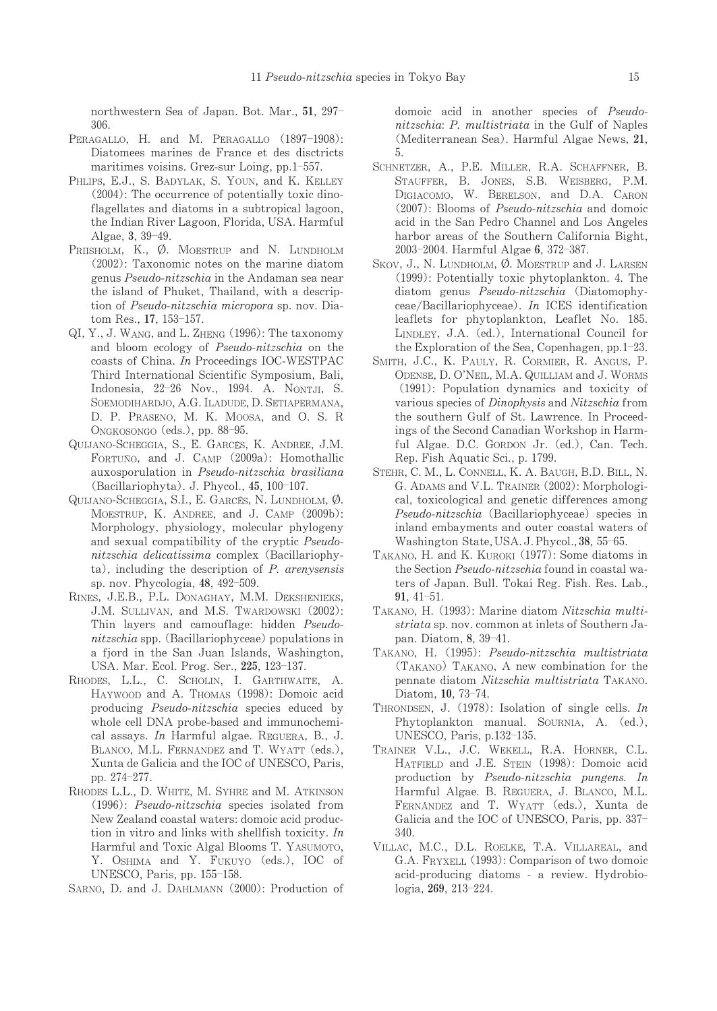northwestern Sea of Japan. Bot. Mar., 51, 297-306.

- PERAGALLO, H. and M. PERAGALLO (1897-1908): Diatomees marines de France et des disctricts maritimes voisins. Grez-sur Loing, pp.1-557.
- PHLIPS, E.J., S. BADYLAK, S. YOUN, and K. KELLEY  $(2004)$ : The occurrence of potentially toxic dinoflagellates and diatoms in a subtropical lagoon, the Indian River Lagoon, Florida, USA. Harmful Algae, 3, 39-49.
- PRIISHOLM, K., Ø. MOESTRUP and N. LUNDHOLM (2002): Taxonomic notes on the marine diatom genus Pseudo-nitzschia in the Andaman sea near the island of Phuket, Thailand, with a description of Pseudo-nitzschia micropora sp. nov. Diatom Res., 17, 153-157.
- QI, Y., J. WANG, and L. ZHENG (1996): The taxonomy and bloom ecology of Pseudo-nitzschia on the coasts of China. In Proceedings IOC-WESTPAC Third International Scientific Symposium, Bali, Indonesia, 22-26 Nov., 1994. A. NONTJI, S. SOEMODIHARDJO, A.G. ILADUDE, D. SETIAPERMANA, D. P. PRASENO, M. K. MOOSA, and O. S. R ONGKOSONGO (eds.), pp. 88-95.
- QUIJANO-SCHEGGIA, S., E. GARCÉS, K. ANDREE, J.M. FORTUÑO, and J. CAMP (2009a): Homothallic auxosporulation in Pseudo-nitzschia brasiliana (Bacillariophyta). J. Phycol., 45, 100-107.
- QUIJANO-SCHEGGIA, S.I., E. GARCÉS, N. LUNDHOLM, Ø. MOESTRUP, K. ANDREE, and J. CAMP (2009b): Morphology, physiology, molecular phylogeny and sexual compatibility of the cryptic Pseudonitzschia delicatissima complex (Bacillariophy- $(a)$ , including the description of  $P$ . arenysensis sp. nov. Phycologia, 48, 492-509.
- RINES, J.E.B., P.L. DONAGHAY, M.M. DEKSHENIEKS, J.M. SULLIVAN, and M.S. TWARDOWSKI (2002): Thin layers and camouflage: hidden Pseudonitzschia spp. (Bacillariophyceae) populations in a fjord in the San Juan Islands, Washington, USA. Mar. Ecol. Prog. Ser., 225, 123-137.
- RHODES, L.L., C. SCHOLIN, I. GARTHWAITE, A. HAYWOOD and A. THOMAS (1998): Domoic acid producing Pseudo-nitzschia species educed by whole cell DNA probe-based and immunochemical assays. In Harmful algae. REGUERA, B., J. BLANCO, M.L. FERNÁNDEZ and T. WYATT (eds.), Xunta de Galicia and the IOC of UNESCO, Paris, pp. 274-277.
- RHODES L.L., D. WHITE, M. SYHRE and M. ATKINSON  $(1996)$ : *Pseudo-nitzschia* species isolated from New Zealand coastal waters: domoic acid production in vitro and links with shellfish toxicity.  $In$ Harmful and Toxic Algal Blooms T. YASUMOTO, Y. OSHIMA and Y. FUKUYO (eds.), IOC of UNESCO, Paris, pp. 155-158.
- SARNO, D. and J. DAHLMANN (2000): Production of

domoje acid in another species of Pseudonitzschia: P. multistriata in the Gulf of Naples (Mediterranean Sea). Harmful Algae News, 21, 5

- SCHNETZER, A., P.E. MILLER, R.A. SCHAFFNER, B. STAUFFER, B. JONES, S.B. WEISBERG, P.M. DIGIACOMO, W. BERELSON, and D.A. CARON  $(2007)$ : Blooms of *Pseudo-nitzschia* and domoic acid in the San Pedro Channel and Los Angeles harbor areas of the Southern California Bight, 2003-2004. Harmful Algae 6, 372-387.
- SKOV, J., N. LUNDHOLM, Ø. MOESTRUP and J. LARSEN (1999): Potentially toxic phytoplankton. 4. The diatom genus Pseudo-nitzschia (Diatomophyceae/Bacillariophyceae). In ICES identification leaflets for phytoplankton, Leaflet No. 185. LINDLEY, J.A. (ed.), International Council for the Exploration of the Sea, Copenhagen, pp.1-23.
- SMITH, J.C., K. PAULY, R. CORMIER, R. ANGUS, P. ODENSE, D. O'NEIL, M.A. QUILLIAM and J. WORMS (1991): Population dynamics and toxicity of various species of *Dinophysis* and *Nitzschia* from the southern Gulf of St. Lawrence. In Proceedings of the Second Canadian Workshop in Harmful Algae. D.C. GORDON Jr. (ed.), Can. Tech. Rep. Fish Aquatic Sci., p. 1799.
- STEHR, C. M., L. CONNELL, K. A. BAUGH, B.D. BILL, N. G. ADAMS and V.L. TRAINER (2002): Morphological, toxicological and genetic differences among Pseudo-nitzschia (Bacillariophyceae) species in inland embayments and outer coastal waters of Washington State, USA. J. Phycol., 38, 55-65.
- TAKANO, H. and K. KUROKI (1977): Some diatoms in the Section Pseudo-nitzschia found in coastal waters of Japan. Bull. Tokai Reg. Fish. Res. Lab.,  $91, 41 - 51.$
- TAKANO, H. (1993): Marine diatom Nitzschia multistriata sp. nov. common at inlets of Southern Japan. Diatom, 8, 39-41.
- TAKANO, H. (1995): Pseudo-nitzschia multistriata (TAKANO) TAKANO, A new combination for the pennate diatom Nitzschia multistriata TAKANO. Diatom, 10, 73-74.
- THRONDSEN, J. (1978): Isolation of single cells. In Phytoplankton manual. SOURNIA, A. (ed.), UNESCO, Paris, p.132-135.
- TRAINER V.L., J.C. WEKELL, R.A. HORNER, C.L. HATFIELD and J.E. STEIN (1998): Domoic acid production by Pseudo-nitzschia pungens. In Harmful Algae. B. REGUERA, J. BLANCO, M.L. FERNANDEZ and T. WYATT (eds.), Xunta de Galicia and the IOC of UNESCO, Paris, pp. 337-340
- VILLAC, M.C., D.L. ROELKE, T.A. VILLAREAL, and G.A. FRYXELL (1993): Comparison of two domoic acid-producing diatoms - a review. Hydrobiologia, 269, 213-224.